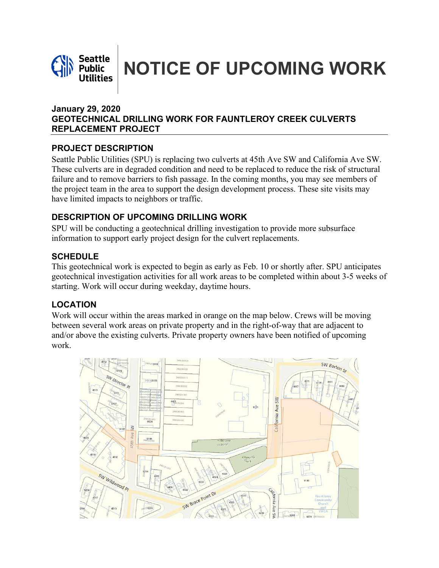

**Seattle NOTICE OF UPCOMING WORK** 

#### **January 29, 2020 GEOTECHNICAL DRILLING WORK FOR FAUNTLEROY CREEK CULVERTS REPLACEMENT PROJECT**

## **PROJECT DESCRIPTION**

Seattle Public Utilities (SPU) is replacing two culverts at 45th Ave SW and California Ave SW. These culverts are in degraded condition and need to be replaced to reduce the risk of structural failure and to remove barriers to fish passage. In the coming months, you may see members of the project team in the area to support the design development process. These site visits may have limited impacts to neighbors or traffic.

### **DESCRIPTION OF UPCOMING DRILLING WORK**

SPU will be conducting a geotechnical drilling investigation to provide more subsurface information to support early project design for the culvert replacements.

### **SCHEDULE**

This geotechnical work is expected to begin as early as Feb. 10 or shortly after. SPU anticipates geotechnical investigation activities for all work areas to be completed within about 3-5 weeks of starting. Work will occur during weekday, daytime hours.

# **LOCATION**

Work will occur within the areas marked in orange on the map below. Crews will be moving between several work areas on private property and in the right-of-way that are adjacent to and/or above the existing culverts. Private property owners have been notified of upcoming work.